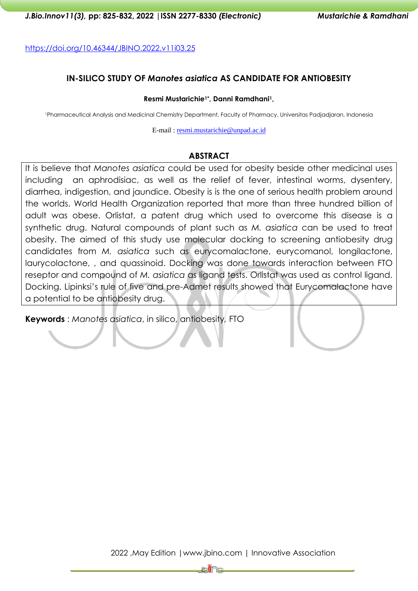<https://doi.org/10.46344/JBINO.2022.v11i03.25>

# **IN-SILICO STUDY OF** *Manotes asiatica* **AS CANDIDATE FOR ANTIOBESITY**

#### **Resmi Mustarichie1\* , Danni Ramdhani1,**

<sup>1</sup>Pharmaceutical Analysis and Medicinal Chemistry Department, Faculty of Pharmacy, Universitas Padjadjaran, Indonesia

E-mail : [resmi.mustarichie@unpad.ac.id](mailto:resmi.mustarichie@unpad.ac.id)

#### **ABSTRACT**

It is believe that *Manotes asiatica* could be used for obesity beside other medicinal uses including an aphrodisiac, as well as the relief of fever, intestinal worms, dysentery, diarrhea, indigestion, and jaundice. Obesity is is the one of serious health problem around the worlds. World Health Organization reported that more than three hundred billion of adult was obese. Orlistat, a patent drug which used to overcome this disease is a synthetic drug. Natural compounds of plant such as *M. asiatica* can be used to treat obesity. The aimed of this study use molecular docking to screening antiobesity drug candidates from *M. asiatica* such as eurycomalactone, eurycomanol, longilactone, laurycolactone, , and quassinoid. Docking was done towards interaction between FTO reseptor and compound of *M. asiatica* as ligand tests. Orlistat was used as control ligand. Docking, Lipinksi's rule of five and pre-Admet results showed that Eurycomalactone have a potential to be antiobesity drug.

**Keywords** : *Manotes asiatica*, in silico, antiobesity*,* FTO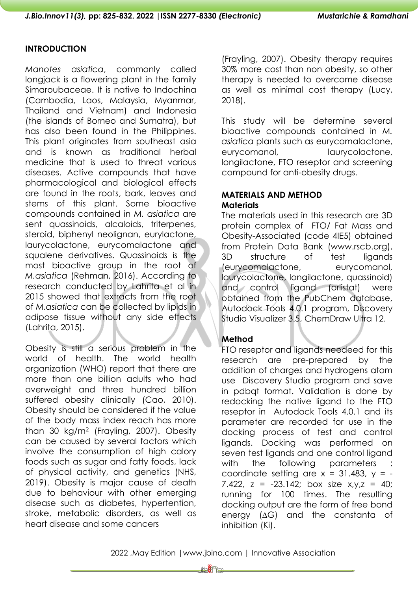### **INTRODUCTION**

*Manotes asiatica*, commonly called longjack is a flowering plant in the family Simaroubaceae. It is native to Indochina (Cambodia, Laos, Malaysia, Myanmar, Thailand and Vietnam) and Indonesia (the islands of Borneo and Sumatra), but has also been found in the Philippines. This plant originates from southeast asia and is known as traditional herbal medicine that is used to threat various diseases. Active compounds that have pharmacological and biological effects are found in the roots, bark, leaves and stems of this plant. Some bioactive compounds contained in *M. asiatica* are sent quassinoids, alcaloids, triterpenes, steroid, biphenyl neolignan, eurylactone, laurycolactone, eurycomalactone and squalene derivatives. Quassinoids is the most bioactive group in the root of *M.asiatica* (Rehman, 2016). According to research conducted by Lahrita et al in 2015 showed that extracts from the root of *M.asiatica* can be collected by lipids in adipose tissue without any side effects (Lahrita, 2015).

Obesity is still a serious problem in the world of health. The world health organization (WHO) report that there are more than one billion adults who had overweight and three hundred billion suffered obesity clinically (Cao, 2010). Obesity should be considered if the value of the body mass index reach has more than 30 kg/m<sup>2</sup> (Frayling, 2007). Obesity can be caused by several factors which involve the consumption of high calory foods such as sugar and fatty foods, lack of physical activity, and genetics (NHS, 2019). Obesity is major cause of death due to behaviour with other emerging disease such as diabetes, hypertention, stroke, metabolic disorders, as well as heart disease and some cancers

(Frayling, 2007). Obesity therapy requires 30% more cost than non obesity, so other therapy is needed to overcome disease as well as minimal cost therapy (Lucy, 2018).

This study will be determine several bioactive compounds contained in *M. asiatica* plants such as eurycomalactone, eurycomanol, laurycolactone, longilactone, FTO reseptor and screening compound for anti-obesity drugs.

## **MATERIALS AND METHOD Materials**

The materials used in this research are 3D protein complex of FTO/ Fat Mass and Obesity-Associated (code 4IE5) obtained from Protein Data Bank (www.rscb.org), 3D structure of test ligands (eurycomalactone, eurycomanol, laurycolactone, longilactone, quassinoid) and control ligand (orlistat) were obtained from the PubChem database, Autodock Tools 4.0.1 program, Discovery Studio Visualizer 3.5, ChemDraw Ultra 12.

## **Method**

FTO reseptor and ligands needeed for this research are pre-prepared by the addition of charges and hydrogens atom use Discovery Studio program and save in pdbqt format. Validation is done by redocking the native ligand to the FTO reseptor in Autodock Tools 4.0.1 and its parameter are recorded for use in the docking process of test and control ligands. Docking was performed on seven test ligands and one control ligand with the following parameters coordinate setting are  $x = 31.483$ ,  $y = -$ 7.422,  $z = -23.142$ ; box size  $x, y, z = 40$ ; running for 100 times. The resulting docking output are the form of free bond energy (∆G) and the constanta of inhibition (Ki).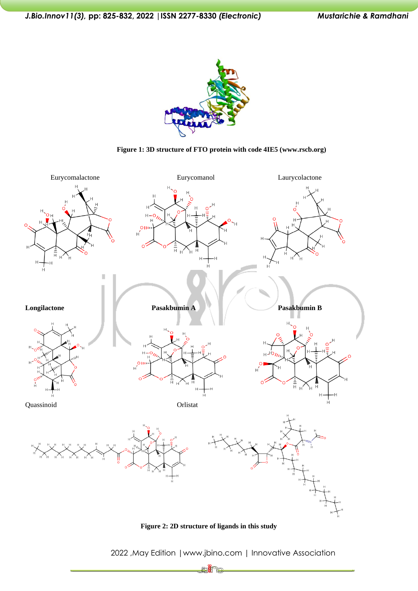





**Figure 2: 2D structure of ligands in this study**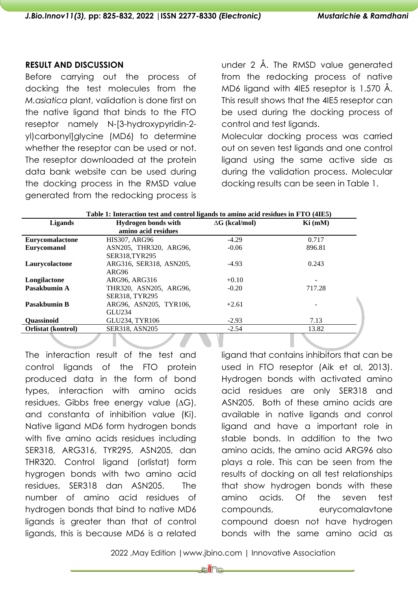#### **RESULT AND DISCUSSION**

Before carrying out the process of docking the test molecules from the *M.asiatica* plant, validation is done first on the native ligand that binds to the FTO reseptor namely N-[3-hydroxypyridin-2 yl)carbonyl]glycine (MD6) to determine whether the reseptor can be used or not. The reseptor downloaded at the protein data bank website can be used during the docking process in the RMSD value generated from the redocking process is

under 2 Å. The RMSD value generated from the redocking process of native MD6 ligand with 4IE5 reseptor is 1.570 Å. This result shows that the 4IE5 reseptor can be used during the docking process of control and test ligands.

Molecular docking process was carried out on seven test ligands and one control ligand using the same active side as during the validation process. Molecular docking results can be seen in Table 1.

| Ligands                   | <b>Hydrogen bonds with</b> | $\Delta G$ (kcal/mol) |        |  |
|---------------------------|----------------------------|-----------------------|--------|--|
|                           | amino acid residues        |                       |        |  |
| Eurycomalactone           | <b>HIS307. ARG96</b>       | $-4.29$               | 0.717  |  |
| <b>Eurycomanol</b>        | ASN205, THR320, ARG96,     | $-0.06$               | 896.81 |  |
|                           | SER318.TYR295              |                       |        |  |
| Laurycolactone            | ARG316, SER318, ASN205,    | $-4.93$               | 0.243  |  |
|                           | ARG96                      |                       |        |  |
| Longilactone              | ARG96, ARG316              | $+0.10$               | -      |  |
| Pasakbumin A              | THR320, ASN205, ARG96,     | $-0.20$               | 717.28 |  |
|                           | <b>SER318. TYR295</b>      |                       |        |  |
| Pasakbumin B              | ARG96, ASN205, TYR106.     | $+2.61$               |        |  |
|                           | GLU <sub>234</sub>         |                       |        |  |
| <b>Quassinoid</b>         | <b>GLU234, TYR106</b>      | $-2.93$               | 7.13   |  |
| <b>Orlistat (kontrol)</b> | SER318, ASN205             | $-2.54$               | 13.82  |  |
|                           |                            |                       |        |  |

| Table 1: Interaction test and control ligands to amino acid residues in FTO (4IE5) |  |  |
|------------------------------------------------------------------------------------|--|--|
|------------------------------------------------------------------------------------|--|--|

The interaction result of the test and control ligands of the FTO protein produced data in the form of bond types, interaction with amino acids residues, Gibbs free energy value (∆G), and constanta of inhibition value (Ki). Native ligand MD6 form hydrogen bonds with five amino acids residues including SER318, ARG316, TYR295, ASN205, dan THR320. Control ligand (orlistat) form hygrogen bonds with two amino acid residues, SER318 dan ASN205. The number of amino acid residues of hydrogen bonds that bind to native MD6 ligands is greater than that of control ligands, this is because MD6 is a related ligand that contains inhibitors that can be used in FTO reseptor (Aik et al, 2013). Hydrogen bonds with activated amino acid residues are only SER318 and ASN205. Both of these amino acids are available in native ligands and conrol ligand and have a important role in stable bonds. In addition to the two amino acids, the amino acid ARG96 also plays a role. This can be seen from the results of docking on all test relationships that show hydrogen bonds with these amino acids. Of the seven test compounds, eurycomalavtone compound doesn not have hydrogen bonds with the same amino acid as

٠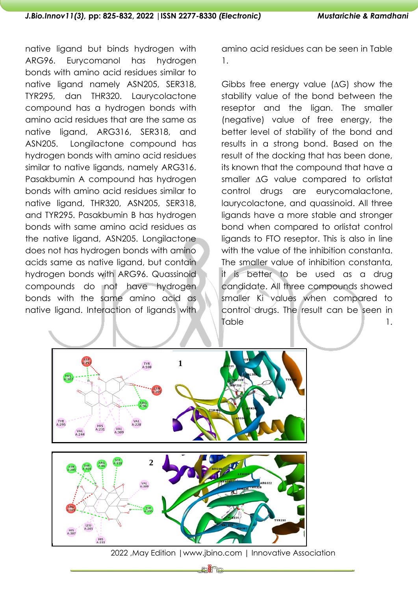native ligand but binds hydrogen with ARG96. Eurycomanol has hydrogen bonds with amino acid residues similar to native ligand namely ASN205, SER318, TYR295, dan THR320. Laurycolactone compound has a hydrogen bonds with amino acid residues that are the same as native ligand, ARG316, SER318, and ASN205. Longilactone compound has hydrogen bonds with amino acid residues similar to native ligands, namely ARG316. Pasakbumin A compound has hydrogen bonds with amino acid residues similar to native ligand, THR320, ASN205, SER318, and TYR295. Pasakbumin B has hydrogen bonds with same amino acid residues as the native ligand, ASN205. Longilactone does not has hydrogen bonds with amino acids same as native ligand, but contain hydrogen bonds with ARG96. Quassinoid compounds do not have hydrogen bonds with the same amino acid as native ligand. Interaction of ligands with

amino acid residues can be seen in Table 1.

Gibbs free energy value (∆G) show the stability value of the bond between the reseptor and the ligan. The smaller (negative) value of free energy, the better level of stability of the bond and results in a strong bond. Based on the result of the docking that has been done, its known that the compound that have a smaller ∆G value compared to orlistat control drugs are eurycomalactone, laurycolactone, and quassinoid. All three ligands have a more stable and stronger bond when compared to orlistat control ligands to FTO reseptor. This is also in line with the value of the inhibition constanta. The smaller value of inhibition constanta, it is better to be used as a drug candidate. All three compounds showed smaller Ki values when compared to control drugs. The result can be seen in Table 1.



2022 ,May Edition |www.jbino.com | Innovative Association

ising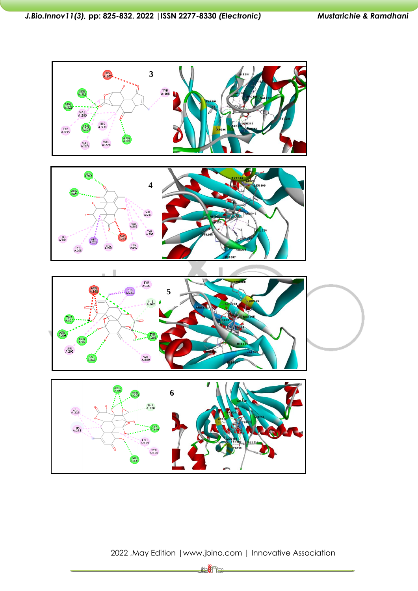

,May Edition |www.jbino.com | Innovative Association

**JAM** 10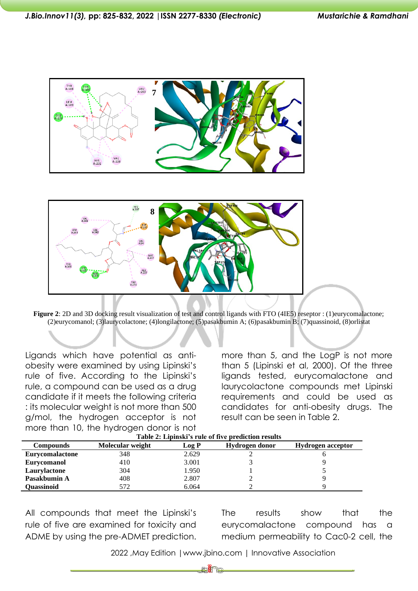



**Figure 2**: 2D and 3D docking result visualization of test and control ligands with FTO (4IE5) reseptor : (1)eurycomalactone; (2)eurycomanol; (3)laurycolactone; (4)longilactone; (5)pasakbumin A; (6)pasakbumin B; (7)quassinoid, (8)orlistat

Ligands which have potential as antiobesity were examined by using Lipinski's rule of five. According to the Lipinski's rule, a compound can be used as a drug candidate if it meets the following criteria : its molecular weight is not more than 500 g/mol, the hydrogen acceptor is not more than 10, the hydrogen donor is not

more than 5, and the LogP is not more than 5 (Lipinski et al, 2000). Of the three ligands tested, eurycomalactone and laurycolactone compounds met Lipinski requirements and could be used as candidates for anti-obesity drugs. The result can be seen in Table 2.

|                        | Table 2: Lipinski's rule of five prediction results |       |                |                   |  |
|------------------------|-----------------------------------------------------|-------|----------------|-------------------|--|
| <b>Compounds</b>       | Molecular weight                                    | Log P | Hydrogen donor | Hydrogen acceptor |  |
| <b>Eurycomalactone</b> | 348                                                 | 2.629 |                |                   |  |
| <b>Eurycomanol</b>     | 410                                                 | 3.001 |                |                   |  |
| Laurylactone           | 304                                                 | 1.950 |                |                   |  |
| Pasakbumin A           | 408                                                 | 2.807 |                |                   |  |
| <b>Quassinoid</b>      | 572                                                 | 6.064 |                |                   |  |

All compounds that meet the Lipinski's rule of five are examined for toxicity and ADME by using the pre-ADMET prediction.

The results show that the eurycomalactone compound has a medium permeability to Cac0-2 cell, the